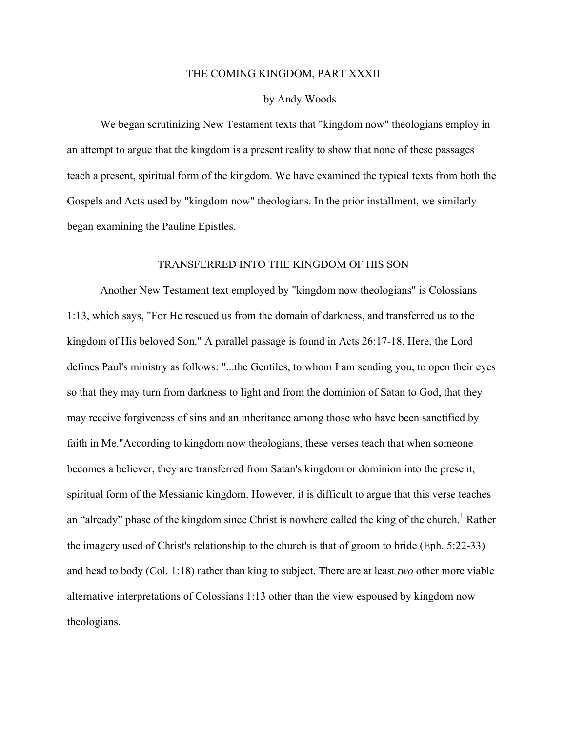## THE COMING KINGDOM, PART XXXII

## by Andy Woods

We began scrutinizing New Testament texts that "kingdom now" theologians employ in an attempt to argue that the kingdom is a present reality to show that none of these passages teach a present, spiritual form of the kingdom. We have examined the typical texts from both the Gospels and Acts used by "kingdom now" theologians. In the prior installment, we similarly began examining the Pauline Epistles.

## TRANSFERRED INTO THE KINGDOM OF HIS SON

Another New Testament text employed by "kingdom now theologians" is Colossians 1:13, which says, "For He rescued us from the domain of darkness, and transferred us to the kingdom of His beloved Son." A parallel passage is found in Acts 26:17-18. Here, the Lord defines Paul's ministry as follows: "...the Gentiles, to whom I am sending you, to open their eyes so that they may turn from darkness to light and from the dominion of Satan to God, that they may receive forgiveness of sins and an inheritance among those who have been sanctified by faith in Me."According to kingdom now theologians, these verses teach that when someone becomes a believer, they are transferred from Satan's kingdom or dominion into the present, spiritual form of the Messianic kingdom. However, it is difficult to argue that this verse teaches an "already" phase of the kingdom since Christ is nowhere called the king of the church.<sup>1</sup> Rather the imagery used of Christ's relationship to the church is that of groom to bride (Eph. 5:22-33) and head to body (Col. 1:18) rather than king to subject. There are at least *two* other more viable alternative interpretations of Colossians 1:13 other than the view espoused by kingdom now theologians.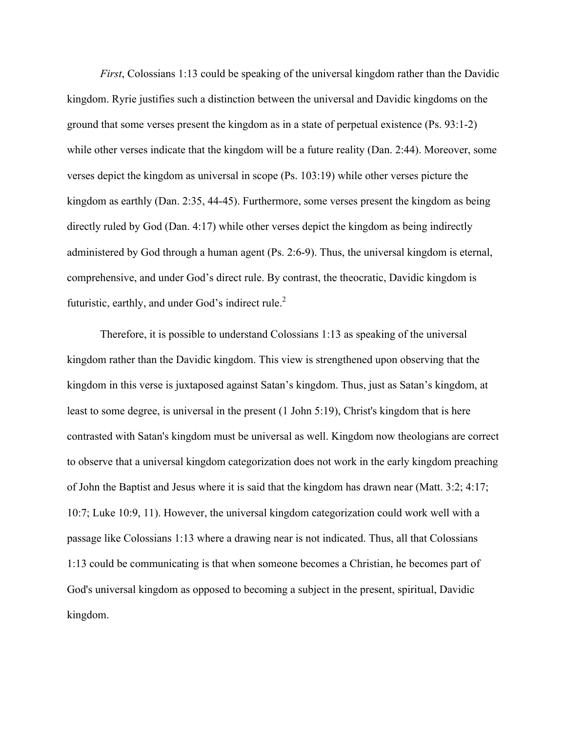*First*, Colossians 1:13 could be speaking of the universal kingdom rather than the Davidic kingdom. Ryrie justifies such a distinction between the universal and Davidic kingdoms on the ground that some verses present the kingdom as in a state of perpetual existence (Ps. 93:1-2) while other verses indicate that the kingdom will be a future reality (Dan. 2:44). Moreover, some verses depict the kingdom as universal in scope (Ps. 103:19) while other verses picture the kingdom as earthly (Dan. 2:35, 44-45). Furthermore, some verses present the kingdom as being directly ruled by God (Dan. 4:17) while other verses depict the kingdom as being indirectly administered by God through a human agent (Ps. 2:6-9). Thus, the universal kingdom is eternal, comprehensive, and under God's direct rule. By contrast, the theocratic, Davidic kingdom is futuristic, earthly, and under God's indirect rule.<sup>2</sup>

Therefore, it is possible to understand Colossians 1:13 as speaking of the universal kingdom rather than the Davidic kingdom. This view is strengthened upon observing that the kingdom in this verse is juxtaposed against Satan's kingdom. Thus, just as Satan's kingdom, at least to some degree, is universal in the present (1 John 5:19), Christ's kingdom that is here contrasted with Satan's kingdom must be universal as well. Kingdom now theologians are correct to observe that a universal kingdom categorization does not work in the early kingdom preaching of John the Baptist and Jesus where it is said that the kingdom has drawn near (Matt. 3:2; 4:17; 10:7; Luke 10:9, 11). However, the universal kingdom categorization could work well with a passage like Colossians 1:13 where a drawing near is not indicated. Thus, all that Colossians 1:13 could be communicating is that when someone becomes a Christian, he becomes part of God's universal kingdom as opposed to becoming a subject in the present, spiritual, Davidic kingdom.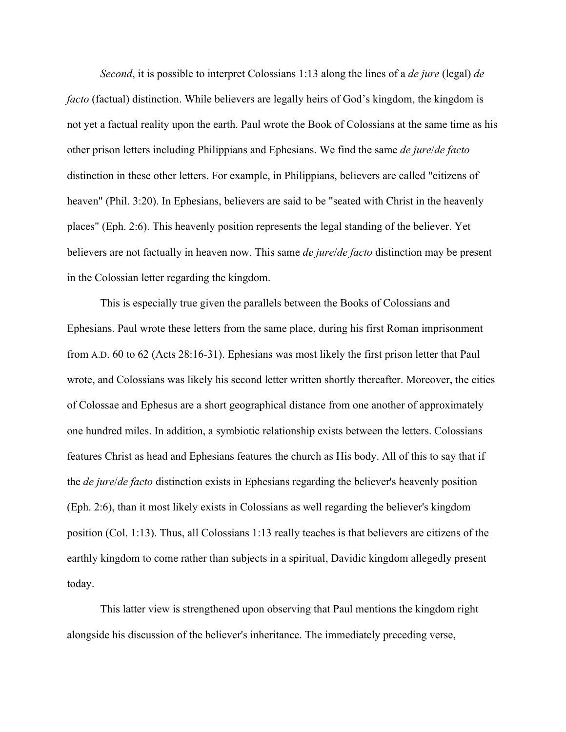*Second*, it is possible to interpret Colossians 1:13 along the lines of a *de jure* (legal) *de facto* (factual) distinction. While believers are legally heirs of God's kingdom, the kingdom is not yet a factual reality upon the earth. Paul wrote the Book of Colossians at the same time as his other prison letters including Philippians and Ephesians. We find the same *de jure*/*de facto* distinction in these other letters. For example, in Philippians, believers are called "citizens of heaven" (Phil. 3:20). In Ephesians, believers are said to be "seated with Christ in the heavenly places" (Eph. 2:6). This heavenly position represents the legal standing of the believer. Yet believers are not factually in heaven now. This same *de jure*/*de facto* distinction may be present in the Colossian letter regarding the kingdom.

This is especially true given the parallels between the Books of Colossians and Ephesians. Paul wrote these letters from the same place, during his first Roman imprisonment from A.D. 60 to 62 (Acts 28:16-31). Ephesians was most likely the first prison letter that Paul wrote, and Colossians was likely his second letter written shortly thereafter. Moreover, the cities of Colossae and Ephesus are a short geographical distance from one another of approximately one hundred miles. In addition, a symbiotic relationship exists between the letters. Colossians features Christ as head and Ephesians features the church as His body. All of this to say that if the *de jure*/*de facto* distinction exists in Ephesians regarding the believer's heavenly position (Eph. 2:6), than it most likely exists in Colossians as well regarding the believer's kingdom position (Col. 1:13). Thus, all Colossians 1:13 really teaches is that believers are citizens of the earthly kingdom to come rather than subjects in a spiritual, Davidic kingdom allegedly present today.

This latter view is strengthened upon observing that Paul mentions the kingdom right alongside his discussion of the believer's inheritance. The immediately preceding verse,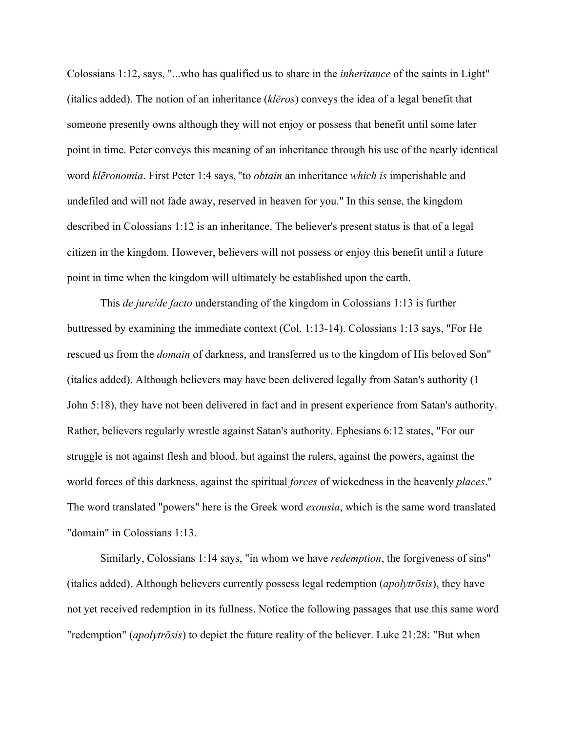Colossians 1:12, says, "...who has qualified us to share in the *inheritance* of the saints in Light" (italics added). The notion of an inheritance (*klēros*) conveys the idea of a legal benefit that someone presently owns although they will not enjoy or possess that benefit until some later point in time. Peter conveys this meaning of an inheritance through his use of the nearly identical word *klēronomia*. First Peter 1:4 says, "to *obtain* an inheritance *which is* imperishable and undefiled and will not fade away, reserved in heaven for you." In this sense, the kingdom described in Colossians 1:12 is an inheritance. The believer's present status is that of a legal citizen in the kingdom. However, believers will not possess or enjoy this benefit until a future point in time when the kingdom will ultimately be established upon the earth.

This *de jure*/*de facto* understanding of the kingdom in Colossians 1:13 is further buttressed by examining the immediate context (Col. 1:13-14). Colossians 1:13 says, "For He rescued us from the *domain* of darkness, and transferred us to the kingdom of His beloved Son" (italics added). Although believers may have been delivered legally from Satan's authority (1 John 5:18), they have not been delivered in fact and in present experience from Satan's authority. Rather, believers regularly wrestle against Satan's authority. Ephesians 6:12 states, "For our struggle is not against flesh and blood, but against the rulers, against the powers, against the world forces of this darkness, against the spiritual *forces* of wickedness in the heavenly *places*." The word translated "powers" here is the Greek word *exousia*, which is the same word translated "domain" in Colossians 1:13.

Similarly, Colossians 1:14 says, "in whom we have *redemption*, the forgiveness of sins" (italics added). Although believers currently possess legal redemption (*apolytrōsis*), they have not yet received redemption in its fullness. Notice the following passages that use this same word "redemption" (*apolytrōsis*) to depict the future reality of the believer. Luke 21:28: "But when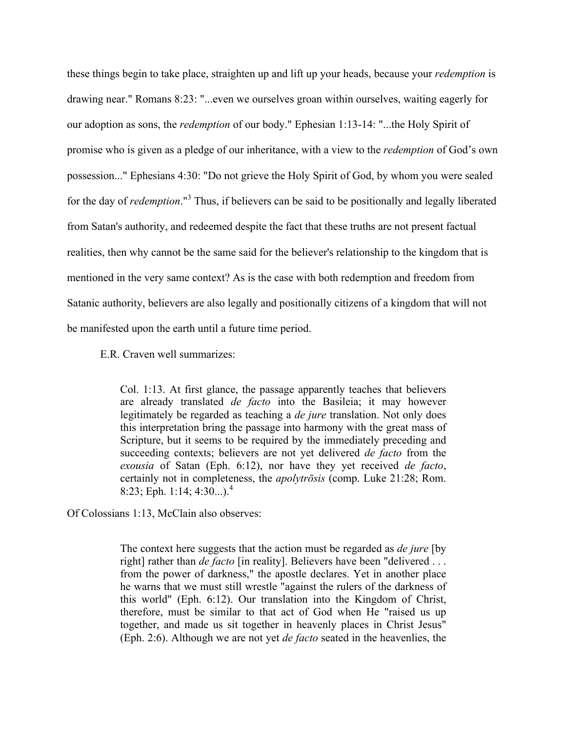these things begin to take place, straighten up and lift up your heads, because your *redemption* is drawing near." Romans 8:23: "...even we ourselves groan within ourselves, waiting eagerly for our adoption as sons, the *redemption* of our body." Ephesian 1:13-14: "...the Holy Spirit of promise who is given as a pledge of our inheritance, with a view to the *redemption* of God's own possession..." Ephesians 4:30: "Do not grieve the Holy Spirit of God, by whom you were sealed for the day of *redemption*." <sup>3</sup> Thus, if believers can be said to be positionally and legally liberated from Satan's authority, and redeemed despite the fact that these truths are not present factual realities, then why cannot be the same said for the believer's relationship to the kingdom that is mentioned in the very same context? As is the case with both redemption and freedom from Satanic authority, believers are also legally and positionally citizens of a kingdom that will not be manifested upon the earth until a future time period.

E.R. Craven well summarizes:

Col. 1:13. At first glance, the passage apparently teaches that believers are already translated *de facto* into the Basileia; it may however legitimately be regarded as teaching a *de jure* translation. Not only does this interpretation bring the passage into harmony with the great mass of Scripture, but it seems to be required by the immediately preceding and succeeding contexts; believers are not yet delivered *de facto* from the *exousia* of Satan (Eph. 6:12), nor have they yet received *de facto*, certainly not in completeness, the *apolytrōsis* (comp. Luke 21:28; Rom. 8:23; Eph. 1:14; 4:30...).<sup>4</sup>

Of Colossians 1:13, McClain also observes:

The context here suggests that the action must be regarded as *de jure* [by right] rather than *de facto* [in reality]. Believers have been "delivered . . . from the power of darkness," the apostle declares. Yet in another place he warns that we must still wrestle "against the rulers of the darkness of this world" (Eph. 6:12). Our translation into the Kingdom of Christ, therefore, must be similar to that act of God when He "raised us up together, and made us sit together in heavenly places in Christ Jesus" (Eph. 2:6). Although we are not yet *de facto* seated in the heavenlies, the